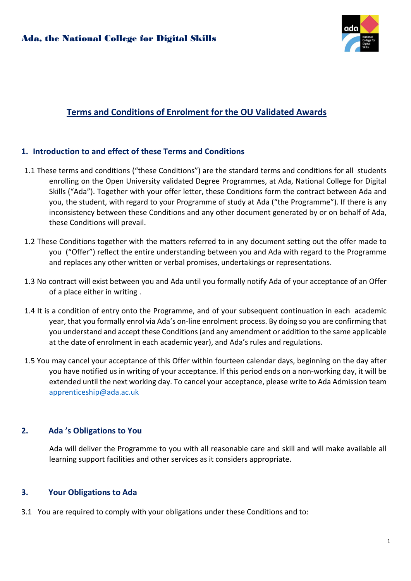

# Terms and Conditions of Enrolment for the OU Validated Awards

# 1. Introduction to and effect of these Terms and Conditions

- 1.1 These terms and conditions ("these Conditions") are the standard terms and conditions for all students enrolling on the Open University validated Degree Programmes, at Ada, National College for Digital Skills ("Ada"). Together with your offer letter, these Conditions form the contract between Ada and you, the student, with regard to your Programme of study at Ada ("the Programme"). If there is any inconsistency between these Conditions and any other document generated by or on behalf of Ada, these Conditions will prevail.
- 1.2 These Conditions together with the matters referred to in any document setting out the offer made to you ("Offer") reflect the entire understanding between you and Ada with regard to the Programme and replaces any other written or verbal promises, undertakings or representations.
- 1.3 No contract will exist between you and Ada until you formally notify Ada of your acceptance of an Offer of a place either in writing .
- 1.4 It is a condition of entry onto the Programme, and of your subsequent continuation in each academic year, that you formally enrol via Ada's on-line enrolment process. By doing so you are confirming that you understand and accept these Conditions (and any amendment or addition to the same applicable at the date of enrolment in each academic year), and Ada's rules and regulations.
- 1.5 You may cancel your acceptance of this Offer within fourteen calendar days, beginning on the day after you have notified us in writing of your acceptance. If this period ends on a non-working day, it will be extended until the next working day. To cancel your acceptance, please write to Ada Admission team apprenticeship@ada.ac.uk

# 2. Ada 's Obligations to You

Ada will deliver the Programme to you with all reasonable care and skill and will make available all learning support facilities and other services as it considers appropriate.

# 3. Your Obligations to Ada

3.1 You are required to comply with your obligations under these Conditions and to: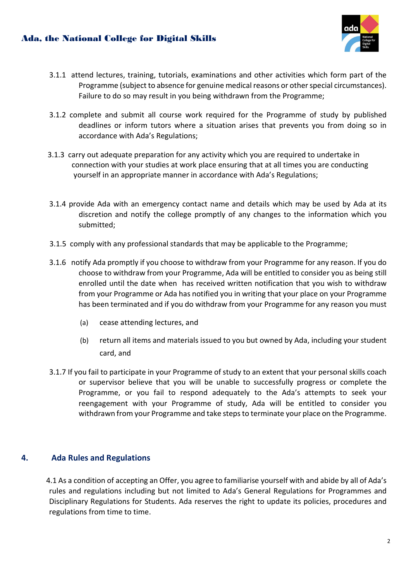# Ada, the National College for Digital Skills



- 3.1.1 attend lectures, training, tutorials, examinations and other activities which form part of the Programme (subject to absence for genuine medical reasons or other special circumstances). Failure to do so may result in you being withdrawn from the Programme;
- 3.1.2 complete and submit all course work required for the Programme of study by published deadlines or inform tutors where a situation arises that prevents you from doing so in accordance with Ada's Regulations;
- 3.1.3 carry out adequate preparation for any activity which you are required to undertake in connection with your studies at work place ensuring that at all times you are conducting yourself in an appropriate manner in accordance with Ada's Regulations;
- 3.1.4 provide Ada with an emergency contact name and details which may be used by Ada at its discretion and notify the college promptly of any changes to the information which you submitted;
- 3.1.5 comply with any professional standards that may be applicable to the Programme;
- 3.1.6 notify Ada promptly if you choose to withdraw from your Programme for any reason. If you do choose to withdraw from your Programme, Ada will be entitled to consider you as being still enrolled until the date when has received written notification that you wish to withdraw from your Programme or Ada has notified you in writing that your place on your Programme has been terminated and if you do withdraw from your Programme for any reason you must
	- (a) cease attending lectures, and
	- (b) return all items and materials issued to you but owned by Ada, including your student card, and
- 3.1.7 If you fail to participate in your Programme of study to an extent that your personal skills coach or supervisor believe that you will be unable to successfully progress or complete the Programme, or you fail to respond adequately to the Ada's attempts to seek your reengagement with your Programme of study, Ada will be entitled to consider you withdrawn from your Programme and take steps to terminate your place on the Programme.

# 4. Ada Rules and Regulations

4.1 As a condition of accepting an Offer, you agree to familiarise yourself with and abide by all of Ada's rules and regulations including but not limited to Ada's General Regulations for Programmes and Disciplinary Regulations for Students. Ada reserves the right to update its policies, procedures and regulations from time to time.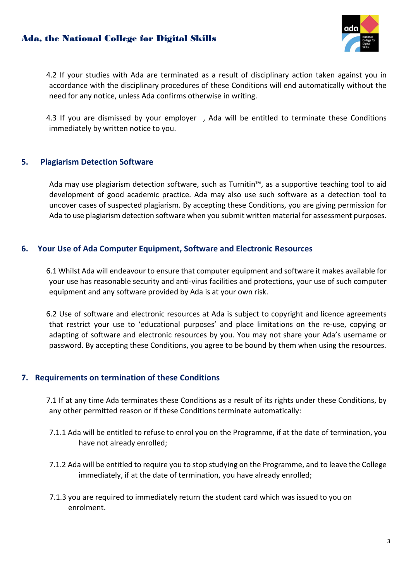# Ada, the National College for Digital Skills



4.2 If your studies with Ada are terminated as a result of disciplinary action taken against you in accordance with the disciplinary procedures of these Conditions will end automatically without the need for any notice, unless Ada confirms otherwise in writing.

4.3 If you are dismissed by your employer , Ada will be entitled to terminate these Conditions immediately by written notice to you.

#### 5. Plagiarism Detection Software

Ada may use plagiarism detection software, such as Turnitin™, as a supportive teaching tool to aid development of good academic practice. Ada may also use such software as a detection tool to uncover cases of suspected plagiarism. By accepting these Conditions, you are giving permission for Ada to use plagiarism detection software when you submit written material for assessment purposes.

# 6. Your Use of Ada Computer Equipment, Software and Electronic Resources

6.1 Whilst Ada will endeavour to ensure that computer equipment and software it makes available for your use has reasonable security and anti-virus facilities and protections, your use of such computer equipment and any software provided by Ada is at your own risk.

6.2 Use of software and electronic resources at Ada is subject to copyright and licence agreements that restrict your use to 'educational purposes' and place limitations on the re-use, copying or adapting of software and electronic resources by you. You may not share your Ada's username or password. By accepting these Conditions, you agree to be bound by them when using the resources.

# 7. Requirements on termination of these Conditions

7.1 If at any time Ada terminates these Conditions as a result of its rights under these Conditions, by any other permitted reason or if these Conditions terminate automatically:

- 7.1.1 Ada will be entitled to refuse to enrol you on the Programme, if at the date of termination, you have not already enrolled;
- 7.1.2 Ada will be entitled to require you to stop studying on the Programme, and to leave the College immediately, if at the date of termination, you have already enrolled;
- 7.1.3 you are required to immediately return the student card which was issued to you on enrolment.